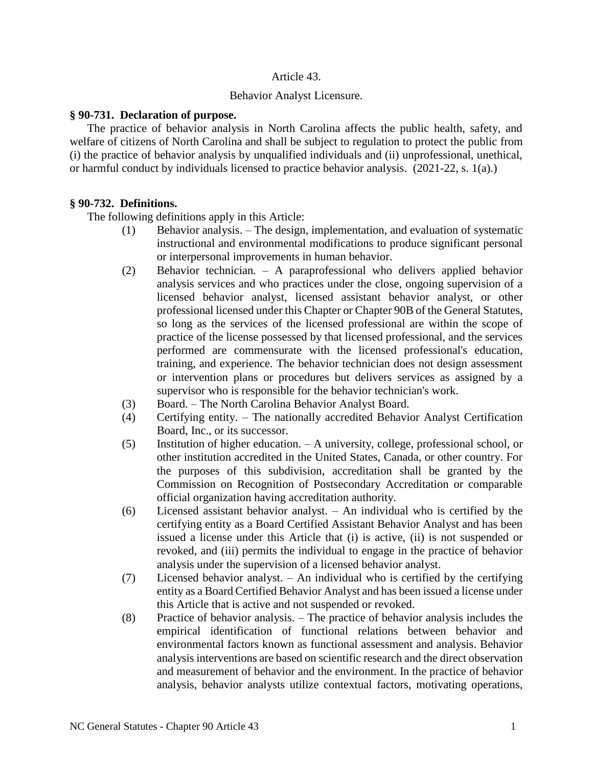## Article 43.

### Behavior Analyst Licensure.

#### **§ 90-731. Declaration of purpose.**

The practice of behavior analysis in North Carolina affects the public health, safety, and welfare of citizens of North Carolina and shall be subject to regulation to protect the public from (i) the practice of behavior analysis by unqualified individuals and (ii) unprofessional, unethical, or harmful conduct by individuals licensed to practice behavior analysis. (2021-22, s. 1(a).)

## **§ 90-732. Definitions.**

The following definitions apply in this Article:

- (1) Behavior analysis. The design, implementation, and evaluation of systematic instructional and environmental modifications to produce significant personal or interpersonal improvements in human behavior.
- (2) Behavior technician. A paraprofessional who delivers applied behavior analysis services and who practices under the close, ongoing supervision of a licensed behavior analyst, licensed assistant behavior analyst, or other professional licensed under this Chapter or Chapter 90B of the General Statutes, so long as the services of the licensed professional are within the scope of practice of the license possessed by that licensed professional, and the services performed are commensurate with the licensed professional's education, training, and experience. The behavior technician does not design assessment or intervention plans or procedures but delivers services as assigned by a supervisor who is responsible for the behavior technician's work.
- (3) Board. The North Carolina Behavior Analyst Board.
- (4) Certifying entity. The nationally accredited Behavior Analyst Certification Board, Inc., or its successor.
- (5) Institution of higher education. A university, college, professional school, or other institution accredited in the United States, Canada, or other country. For the purposes of this subdivision, accreditation shall be granted by the Commission on Recognition of Postsecondary Accreditation or comparable official organization having accreditation authority.
- (6) Licensed assistant behavior analyst. An individual who is certified by the certifying entity as a Board Certified Assistant Behavior Analyst and has been issued a license under this Article that (i) is active, (ii) is not suspended or revoked, and (iii) permits the individual to engage in the practice of behavior analysis under the supervision of a licensed behavior analyst.
- (7) Licensed behavior analyst. An individual who is certified by the certifying entity as a Board Certified Behavior Analyst and has been issued a license under this Article that is active and not suspended or revoked.
- (8) Practice of behavior analysis. The practice of behavior analysis includes the empirical identification of functional relations between behavior and environmental factors known as functional assessment and analysis. Behavior analysis interventions are based on scientific research and the direct observation and measurement of behavior and the environment. In the practice of behavior analysis, behavior analysts utilize contextual factors, motivating operations,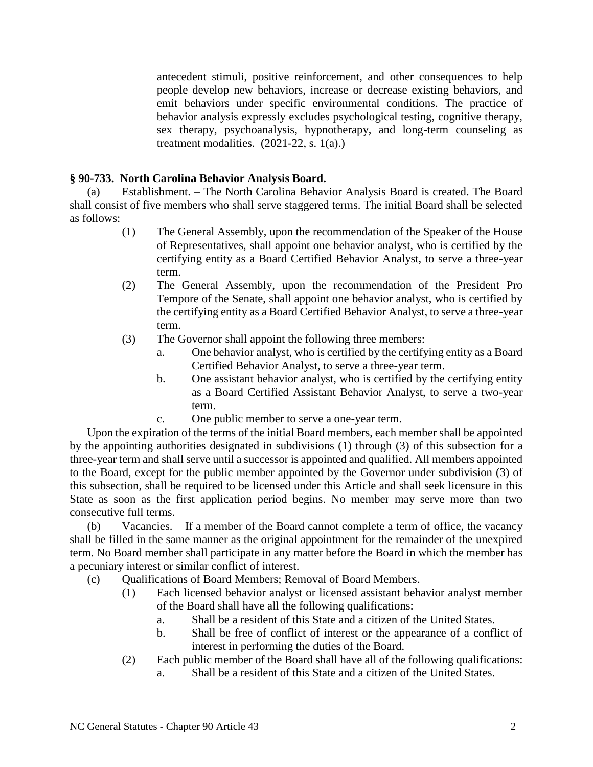antecedent stimuli, positive reinforcement, and other consequences to help people develop new behaviors, increase or decrease existing behaviors, and emit behaviors under specific environmental conditions. The practice of behavior analysis expressly excludes psychological testing, cognitive therapy, sex therapy, psychoanalysis, hypnotherapy, and long-term counseling as treatment modalities.  $(2021-22, s. 1(a))$ 

## **§ 90-733. North Carolina Behavior Analysis Board.**

(a) Establishment. – The North Carolina Behavior Analysis Board is created. The Board shall consist of five members who shall serve staggered terms. The initial Board shall be selected as follows:

- (1) The General Assembly, upon the recommendation of the Speaker of the House of Representatives, shall appoint one behavior analyst, who is certified by the certifying entity as a Board Certified Behavior Analyst, to serve a three-year term.
- (2) The General Assembly, upon the recommendation of the President Pro Tempore of the Senate, shall appoint one behavior analyst, who is certified by the certifying entity as a Board Certified Behavior Analyst, to serve a three-year term.
- (3) The Governor shall appoint the following three members:
	- a. One behavior analyst, who is certified by the certifying entity as a Board Certified Behavior Analyst, to serve a three-year term.
	- b. One assistant behavior analyst, who is certified by the certifying entity as a Board Certified Assistant Behavior Analyst, to serve a two-year term.
	- c. One public member to serve a one-year term.

Upon the expiration of the terms of the initial Board members, each member shall be appointed by the appointing authorities designated in subdivisions (1) through (3) of this subsection for a three-year term and shall serve until a successor is appointed and qualified. All members appointed to the Board, except for the public member appointed by the Governor under subdivision (3) of this subsection, shall be required to be licensed under this Article and shall seek licensure in this State as soon as the first application period begins. No member may serve more than two consecutive full terms.

(b) Vacancies. – If a member of the Board cannot complete a term of office, the vacancy shall be filled in the same manner as the original appointment for the remainder of the unexpired term. No Board member shall participate in any matter before the Board in which the member has a pecuniary interest or similar conflict of interest.

- (c) Qualifications of Board Members; Removal of Board Members.
	- (1) Each licensed behavior analyst or licensed assistant behavior analyst member of the Board shall have all the following qualifications:
		- a. Shall be a resident of this State and a citizen of the United States.
		- b. Shall be free of conflict of interest or the appearance of a conflict of interest in performing the duties of the Board.
	- (2) Each public member of the Board shall have all of the following qualifications:
		- a. Shall be a resident of this State and a citizen of the United States.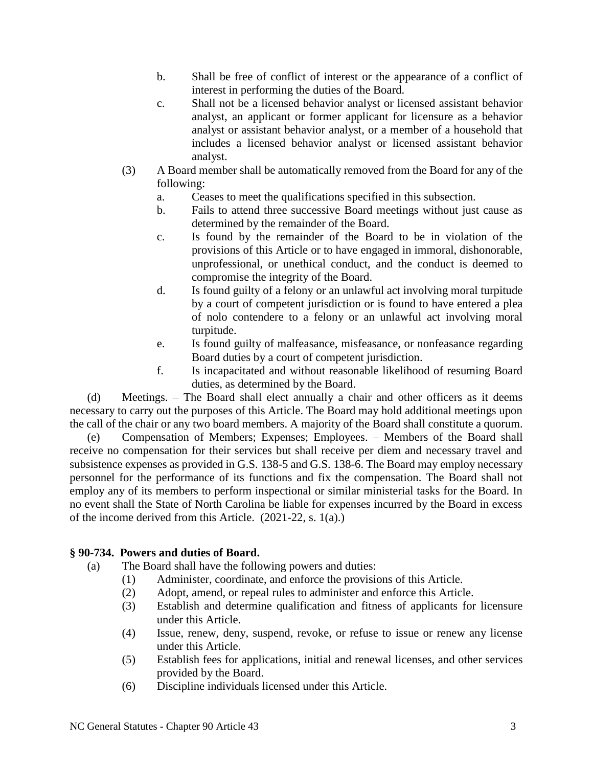- b. Shall be free of conflict of interest or the appearance of a conflict of interest in performing the duties of the Board.
- c. Shall not be a licensed behavior analyst or licensed assistant behavior analyst, an applicant or former applicant for licensure as a behavior analyst or assistant behavior analyst, or a member of a household that includes a licensed behavior analyst or licensed assistant behavior analyst.
- (3) A Board member shall be automatically removed from the Board for any of the following:
	- a. Ceases to meet the qualifications specified in this subsection.
	- b. Fails to attend three successive Board meetings without just cause as determined by the remainder of the Board.
	- c. Is found by the remainder of the Board to be in violation of the provisions of this Article or to have engaged in immoral, dishonorable, unprofessional, or unethical conduct, and the conduct is deemed to compromise the integrity of the Board.
	- d. Is found guilty of a felony or an unlawful act involving moral turpitude by a court of competent jurisdiction or is found to have entered a plea of nolo contendere to a felony or an unlawful act involving moral turpitude.
	- e. Is found guilty of malfeasance, misfeasance, or nonfeasance regarding Board duties by a court of competent jurisdiction.
	- f. Is incapacitated and without reasonable likelihood of resuming Board duties, as determined by the Board.

(d) Meetings. – The Board shall elect annually a chair and other officers as it deems necessary to carry out the purposes of this Article. The Board may hold additional meetings upon the call of the chair or any two board members. A majority of the Board shall constitute a quorum.

(e) Compensation of Members; Expenses; Employees. – Members of the Board shall receive no compensation for their services but shall receive per diem and necessary travel and subsistence expenses as provided in G.S. 138-5 and G.S. 138-6. The Board may employ necessary personnel for the performance of its functions and fix the compensation. The Board shall not employ any of its members to perform inspectional or similar ministerial tasks for the Board. In no event shall the State of North Carolina be liable for expenses incurred by the Board in excess of the income derived from this Article. (2021-22, s. 1(a).)

# **§ 90-734. Powers and duties of Board.**

- (a) The Board shall have the following powers and duties:
	- (1) Administer, coordinate, and enforce the provisions of this Article.
	- (2) Adopt, amend, or repeal rules to administer and enforce this Article.
	- (3) Establish and determine qualification and fitness of applicants for licensure under this Article.
	- (4) Issue, renew, deny, suspend, revoke, or refuse to issue or renew any license under this Article.
	- (5) Establish fees for applications, initial and renewal licenses, and other services provided by the Board.
	- (6) Discipline individuals licensed under this Article.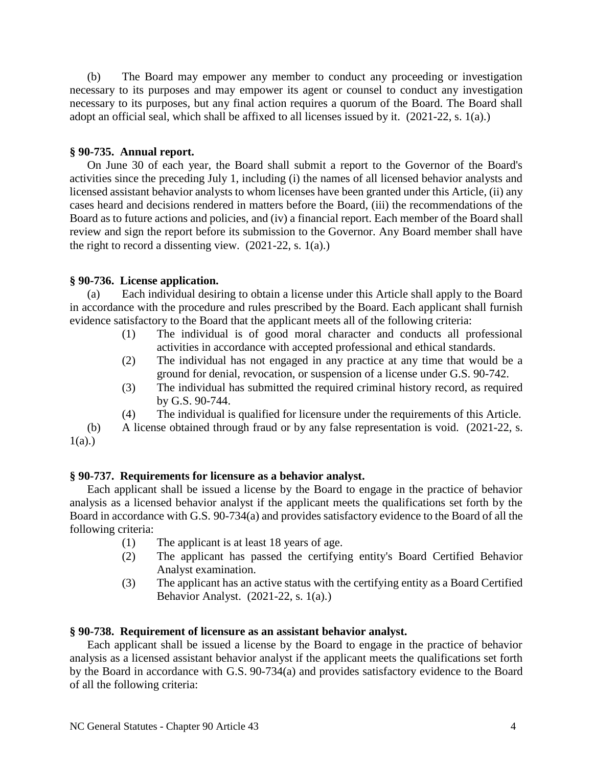(b) The Board may empower any member to conduct any proceeding or investigation necessary to its purposes and may empower its agent or counsel to conduct any investigation necessary to its purposes, but any final action requires a quorum of the Board. The Board shall adopt an official seal, which shall be affixed to all licenses issued by it. (2021-22, s. 1(a).)

## **§ 90-735. Annual report.**

On June 30 of each year, the Board shall submit a report to the Governor of the Board's activities since the preceding July 1, including (i) the names of all licensed behavior analysts and licensed assistant behavior analysts to whom licenses have been granted under this Article, (ii) any cases heard and decisions rendered in matters before the Board, (iii) the recommendations of the Board as to future actions and policies, and (iv) a financial report. Each member of the Board shall review and sign the report before its submission to the Governor. Any Board member shall have the right to record a dissenting view.  $(2021-22, s. 1(a))$ 

## **§ 90-736. License application.**

(a) Each individual desiring to obtain a license under this Article shall apply to the Board in accordance with the procedure and rules prescribed by the Board. Each applicant shall furnish evidence satisfactory to the Board that the applicant meets all of the following criteria:

- (1) The individual is of good moral character and conducts all professional activities in accordance with accepted professional and ethical standards.
- (2) The individual has not engaged in any practice at any time that would be a ground for denial, revocation, or suspension of a license under G.S. 90-742.
- (3) The individual has submitted the required criminal history record, as required by G.S. 90-744.
- (4) The individual is qualified for licensure under the requirements of this Article.

(b) A license obtained through fraud or by any false representation is void. (2021-22, s.  $1(a)$ .)

### **§ 90-737. Requirements for licensure as a behavior analyst.**

Each applicant shall be issued a license by the Board to engage in the practice of behavior analysis as a licensed behavior analyst if the applicant meets the qualifications set forth by the Board in accordance with G.S. 90-734(a) and provides satisfactory evidence to the Board of all the following criteria:

- (1) The applicant is at least 18 years of age.
- (2) The applicant has passed the certifying entity's Board Certified Behavior Analyst examination.
- (3) The applicant has an active status with the certifying entity as a Board Certified Behavior Analyst. (2021-22, s. 1(a).)

#### **§ 90-738. Requirement of licensure as an assistant behavior analyst.**

Each applicant shall be issued a license by the Board to engage in the practice of behavior analysis as a licensed assistant behavior analyst if the applicant meets the qualifications set forth by the Board in accordance with G.S. 90-734(a) and provides satisfactory evidence to the Board of all the following criteria: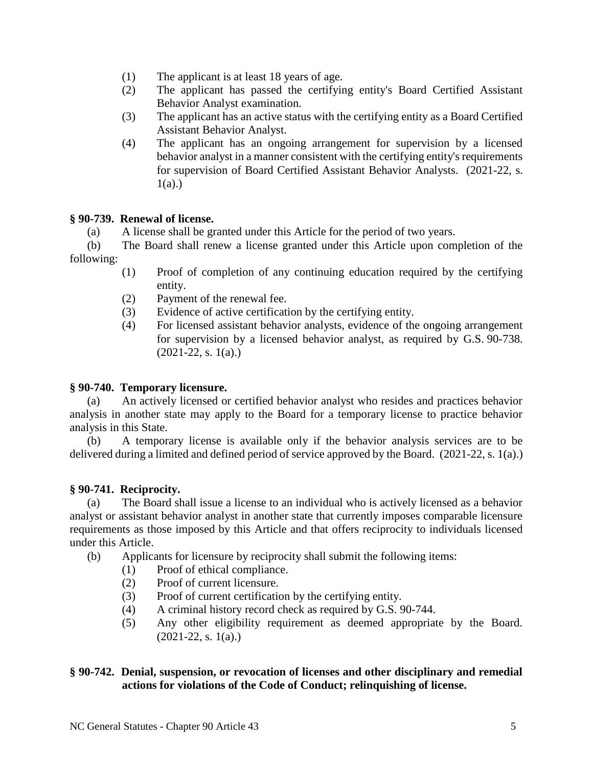- (1) The applicant is at least 18 years of age.
- (2) The applicant has passed the certifying entity's Board Certified Assistant Behavior Analyst examination.
- (3) The applicant has an active status with the certifying entity as a Board Certified Assistant Behavior Analyst.
- (4) The applicant has an ongoing arrangement for supervision by a licensed behavior analyst in a manner consistent with the certifying entity's requirements for supervision of Board Certified Assistant Behavior Analysts. (2021-22, s.  $1(a)$ .)

# **§ 90-739. Renewal of license.**

(a) A license shall be granted under this Article for the period of two years.

(b) The Board shall renew a license granted under this Article upon completion of the following:

- (1) Proof of completion of any continuing education required by the certifying entity.
- (2) Payment of the renewal fee.
- (3) Evidence of active certification by the certifying entity.
- (4) For licensed assistant behavior analysts, evidence of the ongoing arrangement for supervision by a licensed behavior analyst, as required by G.S. 90-738.  $(2021-22, s. 1(a))$

# **§ 90-740. Temporary licensure.**

(a) An actively licensed or certified behavior analyst who resides and practices behavior analysis in another state may apply to the Board for a temporary license to practice behavior analysis in this State.

(b) A temporary license is available only if the behavior analysis services are to be delivered during a limited and defined period of service approved by the Board. (2021-22, s. 1(a).)

# **§ 90-741. Reciprocity.**

(a) The Board shall issue a license to an individual who is actively licensed as a behavior analyst or assistant behavior analyst in another state that currently imposes comparable licensure requirements as those imposed by this Article and that offers reciprocity to individuals licensed under this Article.

- (b) Applicants for licensure by reciprocity shall submit the following items:
	- (1) Proof of ethical compliance.
	- (2) Proof of current licensure.
	- (3) Proof of current certification by the certifying entity.
	- (4) A criminal history record check as required by G.S. 90-744.
	- (5) Any other eligibility requirement as deemed appropriate by the Board.  $(2021-22, s. 1(a))$

# **§ 90-742. Denial, suspension, or revocation of licenses and other disciplinary and remedial actions for violations of the Code of Conduct; relinquishing of license.**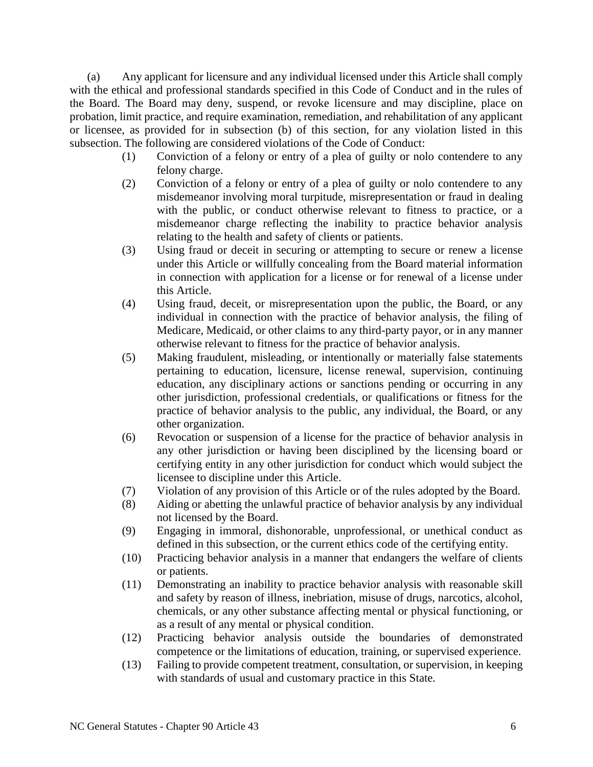(a) Any applicant for licensure and any individual licensed under this Article shall comply with the ethical and professional standards specified in this Code of Conduct and in the rules of the Board. The Board may deny, suspend, or revoke licensure and may discipline, place on probation, limit practice, and require examination, remediation, and rehabilitation of any applicant or licensee, as provided for in subsection (b) of this section, for any violation listed in this subsection. The following are considered violations of the Code of Conduct:

- (1) Conviction of a felony or entry of a plea of guilty or nolo contendere to any felony charge.
- (2) Conviction of a felony or entry of a plea of guilty or nolo contendere to any misdemeanor involving moral turpitude, misrepresentation or fraud in dealing with the public, or conduct otherwise relevant to fitness to practice, or a misdemeanor charge reflecting the inability to practice behavior analysis relating to the health and safety of clients or patients.
- (3) Using fraud or deceit in securing or attempting to secure or renew a license under this Article or willfully concealing from the Board material information in connection with application for a license or for renewal of a license under this Article.
- (4) Using fraud, deceit, or misrepresentation upon the public, the Board, or any individual in connection with the practice of behavior analysis, the filing of Medicare, Medicaid, or other claims to any third-party payor, or in any manner otherwise relevant to fitness for the practice of behavior analysis.
- (5) Making fraudulent, misleading, or intentionally or materially false statements pertaining to education, licensure, license renewal, supervision, continuing education, any disciplinary actions or sanctions pending or occurring in any other jurisdiction, professional credentials, or qualifications or fitness for the practice of behavior analysis to the public, any individual, the Board, or any other organization.
- (6) Revocation or suspension of a license for the practice of behavior analysis in any other jurisdiction or having been disciplined by the licensing board or certifying entity in any other jurisdiction for conduct which would subject the licensee to discipline under this Article.
- (7) Violation of any provision of this Article or of the rules adopted by the Board.
- (8) Aiding or abetting the unlawful practice of behavior analysis by any individual not licensed by the Board.
- (9) Engaging in immoral, dishonorable, unprofessional, or unethical conduct as defined in this subsection, or the current ethics code of the certifying entity.
- (10) Practicing behavior analysis in a manner that endangers the welfare of clients or patients.
- (11) Demonstrating an inability to practice behavior analysis with reasonable skill and safety by reason of illness, inebriation, misuse of drugs, narcotics, alcohol, chemicals, or any other substance affecting mental or physical functioning, or as a result of any mental or physical condition.
- (12) Practicing behavior analysis outside the boundaries of demonstrated competence or the limitations of education, training, or supervised experience.
- (13) Failing to provide competent treatment, consultation, or supervision, in keeping with standards of usual and customary practice in this State.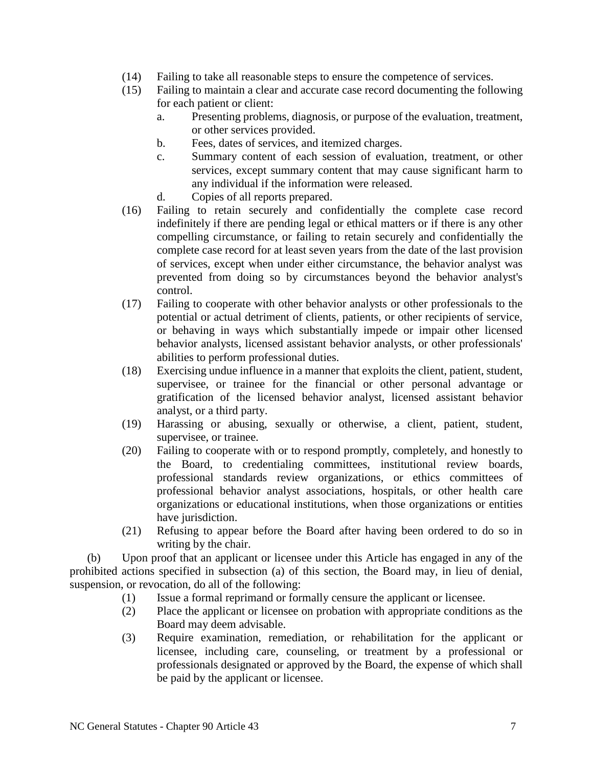- (14) Failing to take all reasonable steps to ensure the competence of services.
- (15) Failing to maintain a clear and accurate case record documenting the following for each patient or client:
	- a. Presenting problems, diagnosis, or purpose of the evaluation, treatment, or other services provided.
	- b. Fees, dates of services, and itemized charges.
	- c. Summary content of each session of evaluation, treatment, or other services, except summary content that may cause significant harm to any individual if the information were released.
	- d. Copies of all reports prepared.
- (16) Failing to retain securely and confidentially the complete case record indefinitely if there are pending legal or ethical matters or if there is any other compelling circumstance, or failing to retain securely and confidentially the complete case record for at least seven years from the date of the last provision of services, except when under either circumstance, the behavior analyst was prevented from doing so by circumstances beyond the behavior analyst's control.
- (17) Failing to cooperate with other behavior analysts or other professionals to the potential or actual detriment of clients, patients, or other recipients of service, or behaving in ways which substantially impede or impair other licensed behavior analysts, licensed assistant behavior analysts, or other professionals' abilities to perform professional duties.
- (18) Exercising undue influence in a manner that exploits the client, patient, student, supervisee, or trainee for the financial or other personal advantage or gratification of the licensed behavior analyst, licensed assistant behavior analyst, or a third party.
- (19) Harassing or abusing, sexually or otherwise, a client, patient, student, supervisee, or trainee.
- (20) Failing to cooperate with or to respond promptly, completely, and honestly to the Board, to credentialing committees, institutional review boards, professional standards review organizations, or ethics committees of professional behavior analyst associations, hospitals, or other health care organizations or educational institutions, when those organizations or entities have jurisdiction.
- (21) Refusing to appear before the Board after having been ordered to do so in writing by the chair.

(b) Upon proof that an applicant or licensee under this Article has engaged in any of the prohibited actions specified in subsection (a) of this section, the Board may, in lieu of denial, suspension, or revocation, do all of the following:

- (1) Issue a formal reprimand or formally censure the applicant or licensee.
- (2) Place the applicant or licensee on probation with appropriate conditions as the Board may deem advisable.
- (3) Require examination, remediation, or rehabilitation for the applicant or licensee, including care, counseling, or treatment by a professional or professionals designated or approved by the Board, the expense of which shall be paid by the applicant or licensee.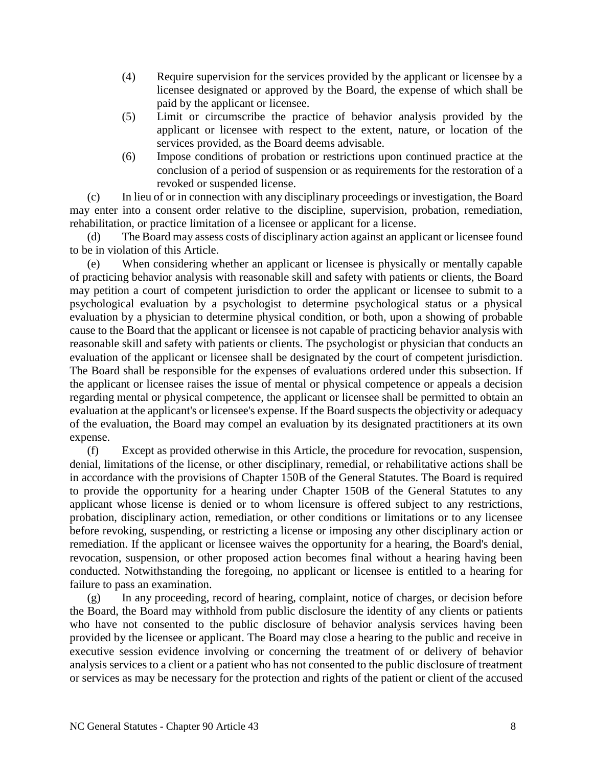- (4) Require supervision for the services provided by the applicant or licensee by a licensee designated or approved by the Board, the expense of which shall be paid by the applicant or licensee.
- (5) Limit or circumscribe the practice of behavior analysis provided by the applicant or licensee with respect to the extent, nature, or location of the services provided, as the Board deems advisable.
- (6) Impose conditions of probation or restrictions upon continued practice at the conclusion of a period of suspension or as requirements for the restoration of a revoked or suspended license.

(c) In lieu of or in connection with any disciplinary proceedings or investigation, the Board may enter into a consent order relative to the discipline, supervision, probation, remediation, rehabilitation, or practice limitation of a licensee or applicant for a license.

(d) The Board may assess costs of disciplinary action against an applicant or licensee found to be in violation of this Article.

(e) When considering whether an applicant or licensee is physically or mentally capable of practicing behavior analysis with reasonable skill and safety with patients or clients, the Board may petition a court of competent jurisdiction to order the applicant or licensee to submit to a psychological evaluation by a psychologist to determine psychological status or a physical evaluation by a physician to determine physical condition, or both, upon a showing of probable cause to the Board that the applicant or licensee is not capable of practicing behavior analysis with reasonable skill and safety with patients or clients. The psychologist or physician that conducts an evaluation of the applicant or licensee shall be designated by the court of competent jurisdiction. The Board shall be responsible for the expenses of evaluations ordered under this subsection. If the applicant or licensee raises the issue of mental or physical competence or appeals a decision regarding mental or physical competence, the applicant or licensee shall be permitted to obtain an evaluation at the applicant's or licensee's expense. If the Board suspects the objectivity or adequacy of the evaluation, the Board may compel an evaluation by its designated practitioners at its own expense.

(f) Except as provided otherwise in this Article, the procedure for revocation, suspension, denial, limitations of the license, or other disciplinary, remedial, or rehabilitative actions shall be in accordance with the provisions of Chapter 150B of the General Statutes. The Board is required to provide the opportunity for a hearing under Chapter 150B of the General Statutes to any applicant whose license is denied or to whom licensure is offered subject to any restrictions, probation, disciplinary action, remediation, or other conditions or limitations or to any licensee before revoking, suspending, or restricting a license or imposing any other disciplinary action or remediation. If the applicant or licensee waives the opportunity for a hearing, the Board's denial, revocation, suspension, or other proposed action becomes final without a hearing having been conducted. Notwithstanding the foregoing, no applicant or licensee is entitled to a hearing for failure to pass an examination.

(g) In any proceeding, record of hearing, complaint, notice of charges, or decision before the Board, the Board may withhold from public disclosure the identity of any clients or patients who have not consented to the public disclosure of behavior analysis services having been provided by the licensee or applicant. The Board may close a hearing to the public and receive in executive session evidence involving or concerning the treatment of or delivery of behavior analysis services to a client or a patient who has not consented to the public disclosure of treatment or services as may be necessary for the protection and rights of the patient or client of the accused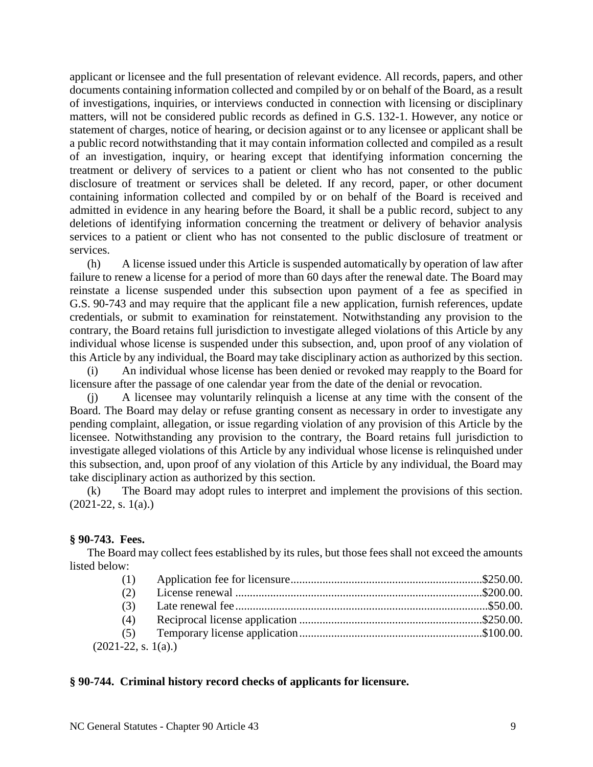applicant or licensee and the full presentation of relevant evidence. All records, papers, and other documents containing information collected and compiled by or on behalf of the Board, as a result of investigations, inquiries, or interviews conducted in connection with licensing or disciplinary matters, will not be considered public records as defined in G.S. 132-1. However, any notice or statement of charges, notice of hearing, or decision against or to any licensee or applicant shall be a public record notwithstanding that it may contain information collected and compiled as a result of an investigation, inquiry, or hearing except that identifying information concerning the treatment or delivery of services to a patient or client who has not consented to the public disclosure of treatment or services shall be deleted. If any record, paper, or other document containing information collected and compiled by or on behalf of the Board is received and admitted in evidence in any hearing before the Board, it shall be a public record, subject to any deletions of identifying information concerning the treatment or delivery of behavior analysis services to a patient or client who has not consented to the public disclosure of treatment or services.

(h) A license issued under this Article is suspended automatically by operation of law after failure to renew a license for a period of more than 60 days after the renewal date. The Board may reinstate a license suspended under this subsection upon payment of a fee as specified in G.S. 90-743 and may require that the applicant file a new application, furnish references, update credentials, or submit to examination for reinstatement. Notwithstanding any provision to the contrary, the Board retains full jurisdiction to investigate alleged violations of this Article by any individual whose license is suspended under this subsection, and, upon proof of any violation of this Article by any individual, the Board may take disciplinary action as authorized by this section.

(i) An individual whose license has been denied or revoked may reapply to the Board for licensure after the passage of one calendar year from the date of the denial or revocation.

(j) A licensee may voluntarily relinquish a license at any time with the consent of the Board. The Board may delay or refuse granting consent as necessary in order to investigate any pending complaint, allegation, or issue regarding violation of any provision of this Article by the licensee. Notwithstanding any provision to the contrary, the Board retains full jurisdiction to investigate alleged violations of this Article by any individual whose license is relinquished under this subsection, and, upon proof of any violation of this Article by any individual, the Board may take disciplinary action as authorized by this section.

(k) The Board may adopt rules to interpret and implement the provisions of this section.  $(2021-22, s. 1(a))$ 

## **§ 90-743. Fees.**

The Board may collect fees established by its rules, but those fees shall not exceed the amounts listed below:

| (2)                  |  |
|----------------------|--|
| (3)                  |  |
| (4)                  |  |
|                      |  |
| $(2021-22, s. 1(a))$ |  |

## **§ 90-744. Criminal history record checks of applicants for licensure.**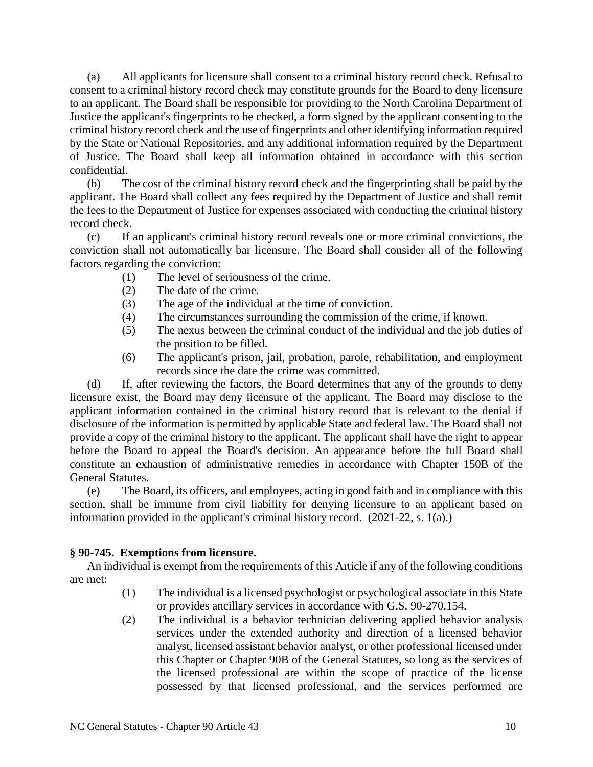(a) All applicants for licensure shall consent to a criminal history record check. Refusal to consent to a criminal history record check may constitute grounds for the Board to deny licensure to an applicant. The Board shall be responsible for providing to the North Carolina Department of Justice the applicant's fingerprints to be checked, a form signed by the applicant consenting to the criminal history record check and the use of fingerprints and other identifying information required by the State or National Repositories, and any additional information required by the Department of Justice. The Board shall keep all information obtained in accordance with this section confidential.

(b) The cost of the criminal history record check and the fingerprinting shall be paid by the applicant. The Board shall collect any fees required by the Department of Justice and shall remit the fees to the Department of Justice for expenses associated with conducting the criminal history record check.

(c) If an applicant's criminal history record reveals one or more criminal convictions, the conviction shall not automatically bar licensure. The Board shall consider all of the following factors regarding the conviction:

- (1) The level of seriousness of the crime.
- (2) The date of the crime.
- (3) The age of the individual at the time of conviction.
- (4) The circumstances surrounding the commission of the crime, if known.
- (5) The nexus between the criminal conduct of the individual and the job duties of the position to be filled.
- (6) The applicant's prison, jail, probation, parole, rehabilitation, and employment records since the date the crime was committed.

(d) If, after reviewing the factors, the Board determines that any of the grounds to deny licensure exist, the Board may deny licensure of the applicant. The Board may disclose to the applicant information contained in the criminal history record that is relevant to the denial if disclosure of the information is permitted by applicable State and federal law. The Board shall not provide a copy of the criminal history to the applicant. The applicant shall have the right to appear before the Board to appeal the Board's decision. An appearance before the full Board shall constitute an exhaustion of administrative remedies in accordance with Chapter 150B of the General Statutes.

(e) The Board, its officers, and employees, acting in good faith and in compliance with this section, shall be immune from civil liability for denying licensure to an applicant based on information provided in the applicant's criminal history record. (2021-22, s. 1(a).)

## **§ 90-745. Exemptions from licensure.**

An individual is exempt from the requirements of this Article if any of the following conditions are met:

- (1) The individual is a licensed psychologist or psychological associate in this State or provides ancillary services in accordance with G.S. 90-270.154.
- (2) The individual is a behavior technician delivering applied behavior analysis services under the extended authority and direction of a licensed behavior analyst, licensed assistant behavior analyst, or other professional licensed under this Chapter or Chapter 90B of the General Statutes, so long as the services of the licensed professional are within the scope of practice of the license possessed by that licensed professional, and the services performed are